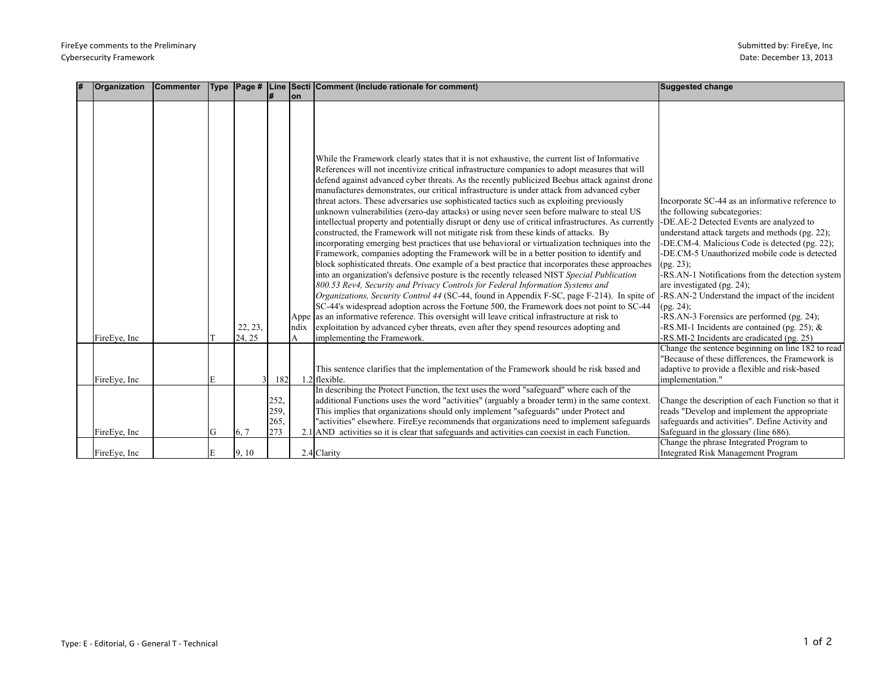| # | Organization  | Commenter | <b>Type</b> | $\vert$ Page #      |                             | on         | Line Secti Comment (Include rationale for comment)                                                                                                                                                                                                                                                                                                                                                                                                                                                                                                                                                                                                                                                                                                                                                                                                                                                                                                                                                                                                                                                                                                                                                                                                                                                                                                                                                                                                                                                                                                                                                                                                                                              | Suggested change                                                                                                                                                                                                                                                                                                                                                                                                                                                                                                                                                                             |
|---|---------------|-----------|-------------|---------------------|-----------------------------|------------|-------------------------------------------------------------------------------------------------------------------------------------------------------------------------------------------------------------------------------------------------------------------------------------------------------------------------------------------------------------------------------------------------------------------------------------------------------------------------------------------------------------------------------------------------------------------------------------------------------------------------------------------------------------------------------------------------------------------------------------------------------------------------------------------------------------------------------------------------------------------------------------------------------------------------------------------------------------------------------------------------------------------------------------------------------------------------------------------------------------------------------------------------------------------------------------------------------------------------------------------------------------------------------------------------------------------------------------------------------------------------------------------------------------------------------------------------------------------------------------------------------------------------------------------------------------------------------------------------------------------------------------------------------------------------------------------------|----------------------------------------------------------------------------------------------------------------------------------------------------------------------------------------------------------------------------------------------------------------------------------------------------------------------------------------------------------------------------------------------------------------------------------------------------------------------------------------------------------------------------------------------------------------------------------------------|
|   | FireEve, Inc. |           |             | 22, 23,<br>24, 25   |                             | Indix<br>A | While the Framework clearly states that it is not exhaustive, the current list of Informative<br>References will not incentivize critical infrastructure companies to adopt measures that will<br>defend against advanced cyber threats. As the recently publicized Beebus attack against drone<br>manufactures demonstrates, our critical infrastructure is under attack from advanced cyber<br>threat actors. These adversaries use sophisticated tactics such as exploiting previously<br>unknown vulnerabilities (zero-day attacks) or using never seen before malware to steal US<br>intellectual property and potentially disrupt or deny use of critical infrastructures. As currently<br>constructed, the Framework will not mitigate risk from these kinds of attacks. By<br>incorporating emerging best practices that use behavioral or virtualization techniques into the<br>Framework, companies adopting the Framework will be in a better position to identify and<br>block sophisticated threats. One example of a best practice that incorporates these approaches<br>into an organization's defensive posture is the recently released NIST Special Publication<br>800.53 Rev4, Security and Privacy Controls for Federal Information Systems and<br><i>Organizations, Security Control 44</i> (SC-44, found in Appendix F-SC, page F-214). In spite of<br>SC-44's widespread adoption across the Fortune 500, the Framework does not point to SC-44<br>Appe as an informative reference. This oversight will leave critical infrastructure at risk to<br>exploitation by advanced cyber threats, even after they spend resources adopting and<br>implementing the Framework. | Incorporate SC-44 as an informative reference to<br>the following subcategories:<br>-DE.AE-2 Detected Events are analyzed to<br>understand attack targets and methods (pg. 22);<br>-DE.CM-4. Malicious Code is detected (pg. 22);<br>-DE.CM-5 Unauthorized mobile code is detected<br>(pg. 23);<br>-RS.AN-1 Notifications from the detection system<br>are investigated (pg. 24);<br>-RS.AN-2 Understand the impact of the incident<br>(pg. 24);<br>-RS.AN-3 Forensics are performed (pg. 24);<br>-RS.MI-1 Incidents are contained (pg. 25); &<br>-RS.MI-2 Incidents are eradicated (pg. 25) |
|   | FireEve, Inc  |           | E           | $\overline{3}$      | 182                         |            | This sentence clarifies that the implementation of the Framework should be risk based and<br>1.2 flexible.                                                                                                                                                                                                                                                                                                                                                                                                                                                                                                                                                                                                                                                                                                                                                                                                                                                                                                                                                                                                                                                                                                                                                                                                                                                                                                                                                                                                                                                                                                                                                                                      | Change the sentence beginning on line 182 to read<br>'Because of these differences, the Framework is<br>adaptive to provide a flexible and risk-based<br>implementation."                                                                                                                                                                                                                                                                                                                                                                                                                    |
|   | FireEye, Inc  |           | G           | $\left[6, 7\right]$ | 252,<br>259,<br>265.<br>273 |            | In describing the Protect Function, the text uses the word "safeguard" where each of the<br>additional Functions uses the word "activities" (arguably a broader term) in the same context.<br>This implies that organizations should only implement "safeguards" under Protect and<br>"activities" elsewhere. FireEye recommends that organizations need to implement safeguards<br>2.1 AND activities so it is clear that safeguards and activities can coexist in each Function.                                                                                                                                                                                                                                                                                                                                                                                                                                                                                                                                                                                                                                                                                                                                                                                                                                                                                                                                                                                                                                                                                                                                                                                                              | Change the description of each Function so that it<br>reads "Develop and implement the appropriate<br>safeguards and activities". Define Activity and<br>Safeguard in the glossary (line 686).                                                                                                                                                                                                                                                                                                                                                                                               |
|   | FireEve, Inc  |           | E           | 9, 10               |                             |            | 2.4 Clarity                                                                                                                                                                                                                                                                                                                                                                                                                                                                                                                                                                                                                                                                                                                                                                                                                                                                                                                                                                                                                                                                                                                                                                                                                                                                                                                                                                                                                                                                                                                                                                                                                                                                                     | Change the phrase Integrated Program to<br>Integrated Risk Management Program                                                                                                                                                                                                                                                                                                                                                                                                                                                                                                                |